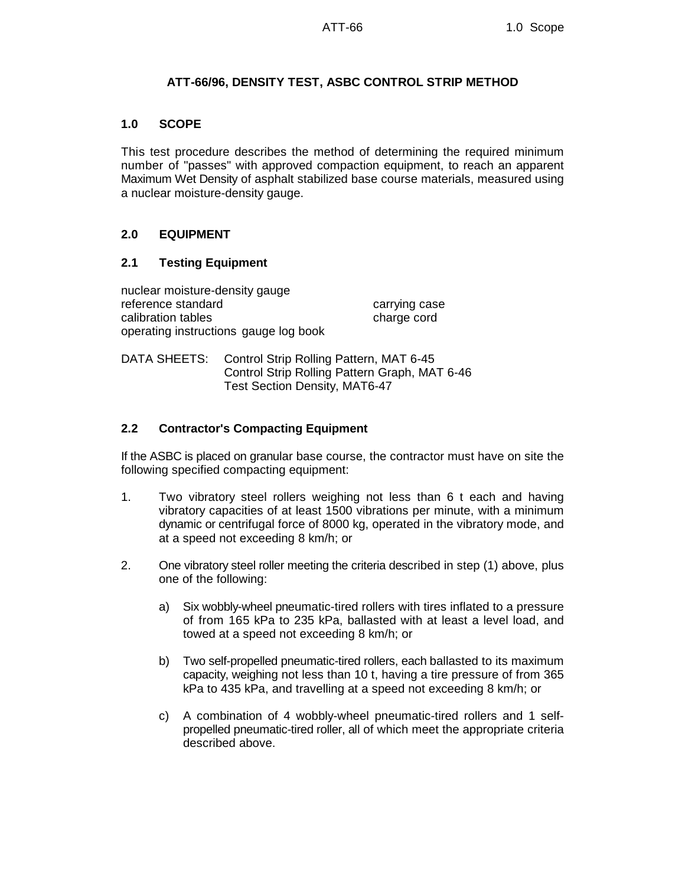# **ATT-66/96, DENSITY TEST, ASBC CONTROL STRIP METHOD**

### **1.0 SCOPE**

This test procedure describes the method of determining the required minimum number of "passes" with approved compaction equipment, to reach an apparent Maximum Wet Density of asphalt stabilized base course materials, measured using a nuclear moisture-density gauge.

# **2.0 EQUIPMENT**

# **2.1 Testing Equipment**

nuclear moisture-density gauge reference standard carrying case calibration tables charge cord operating instructions gauge log book

DATA SHEETS: Control Strip Rolling Pattern, MAT 6-45 Control Strip Rolling Pattern Graph, MAT 6-46 Test Section Density, MAT6-47

# **2.2 Contractor's Compacting Equipment**

If the ASBC is placed on granular base course, the contractor must have on site the following specified compacting equipment:

- 1. Two vibratory steel rollers weighing not less than 6 t each and having vibratory capacities of at least 1500 vibrations per minute, with a minimum dynamic or centrifugal force of 8000 kg, operated in the vibratory mode, and at a speed not exceeding 8 km/h; or
- 2. One vibratory steel roller meeting the criteria described in step (1) above, plus one of the following:
	- a) Six wobbly-wheel pneumatic-tired rollers with tires inflated to a pressure of from 165 kPa to 235 kPa, ballasted with at least a level load, and towed at a speed not exceeding 8 km/h; or
	- b) Two self-propelled pneumatic-tired rollers, each ballasted to its maximum capacity, weighing not less than 10 t, having a tire pressure of from 365 kPa to 435 kPa, and travelling at a speed not exceeding 8 km/h; or
	- c) A combination of 4 wobbly-wheel pneumatic-tired rollers and 1 selfpropelled pneumatic-tired roller, all of which meet the appropriate criteria described above.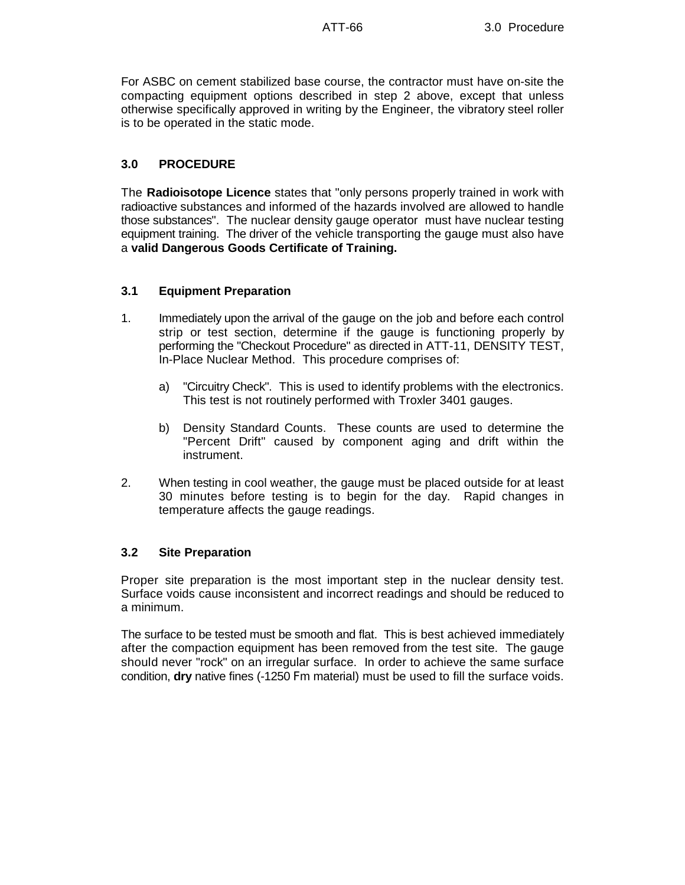For ASBC on cement stabilized base course, the contractor must have on-site the compacting equipment options described in step 2 above, except that unless otherwise specifically approved in writing by the Engineer, the vibratory steel roller is to be operated in the static mode.

# **3.0 PROCEDURE**

The **Radioisotope Licence** states that "only persons properly trained in work with radioactive substances and informed of the hazards involved are allowed to handle those substances". The nuclear density gauge operator must have nuclear testing equipment training. The driver of the vehicle transporting the gauge must also have a **valid Dangerous Goods Certificate of Training.**

#### **3.1 Equipment Preparation**

- 1. Immediately upon the arrival of the gauge on the job and before each control strip or test section, determine if the gauge is functioning properly by performing the "Checkout Procedure" as directed in ATT-11, DENSITY TEST, In-Place Nuclear Method. This procedure comprises of:
	- a) "Circuitry Check". This is used to identify problems with the electronics. This test is not routinely performed with Troxler 3401 gauges.
	- b) Density Standard Counts. These counts are used to determine the "Percent Drift" caused by component aging and drift within the instrument.
- 2. When testing in cool weather, the gauge must be placed outside for at least 30 minutes before testing is to begin for the day. Rapid changes in temperature affects the gauge readings.

#### **3.2 Site Preparation**

Proper site preparation is the most important step in the nuclear density test. Surface voids cause inconsistent and incorrect readings and should be reduced to a minimum.

The surface to be tested must be smooth and flat. This is best achieved immediately after the compaction equipment has been removed from the test site. The gauge should never "rock" on an irregular surface. In order to achieve the same surface condition, **dry** native fines (-1250 Fm material) must be used to fill the surface voids.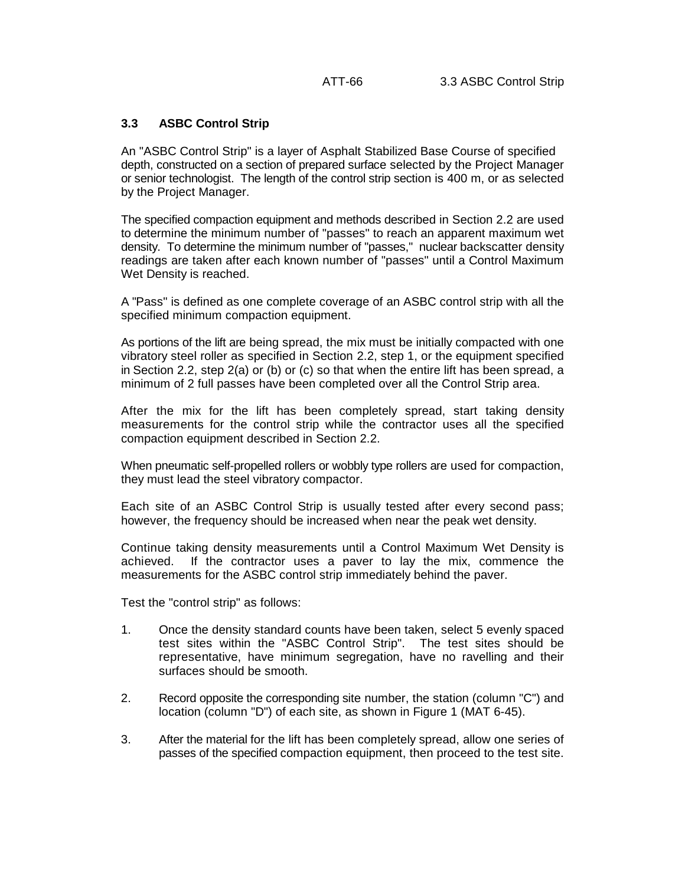# **3.3 ASBC Control Strip**

An "ASBC Control Strip" is a layer of Asphalt Stabilized Base Course of specified depth, constructed on a section of prepared surface selected by the Project Manager or senior technologist. The length of the control strip section is 400 m, or as selected by the Project Manager.

The specified compaction equipment and methods described in Section 2.2 are used to determine the minimum number of "passes" to reach an apparent maximum wet density. To determine the minimum number of "passes," nuclear backscatter density readings are taken after each known number of "passes" until a Control Maximum Wet Density is reached.

A "Pass" is defined as one complete coverage of an ASBC control strip with all the specified minimum compaction equipment.

As portions of the lift are being spread, the mix must be initially compacted with one vibratory steel roller as specified in Section 2.2, step 1, or the equipment specified in Section 2.2, step 2(a) or (b) or (c) so that when the entire lift has been spread, a minimum of 2 full passes have been completed over all the Control Strip area.

After the mix for the lift has been completely spread, start taking density measurements for the control strip while the contractor uses all the specified compaction equipment described in Section 2.2.

When pneumatic self-propelled rollers or wobbly type rollers are used for compaction, they must lead the steel vibratory compactor.

Each site of an ASBC Control Strip is usually tested after every second pass; however, the frequency should be increased when near the peak wet density.

Continue taking density measurements until a Control Maximum Wet Density is achieved. If the contractor uses a paver to lay the mix, commence the measurements for the ASBC control strip immediately behind the paver.

Test the "control strip" as follows:

- 1. Once the density standard counts have been taken, select 5 evenly spaced test sites within the "ASBC Control Strip". The test sites should be representative, have minimum segregation, have no ravelling and their surfaces should be smooth.
- 2. Record opposite the corresponding site number, the station (column "C") and location (column "D") of each site, as shown in Figure 1 (MAT 6-45).
- 3. After the material for the lift has been completely spread, allow one series of passes of the specified compaction equipment, then proceed to the test site.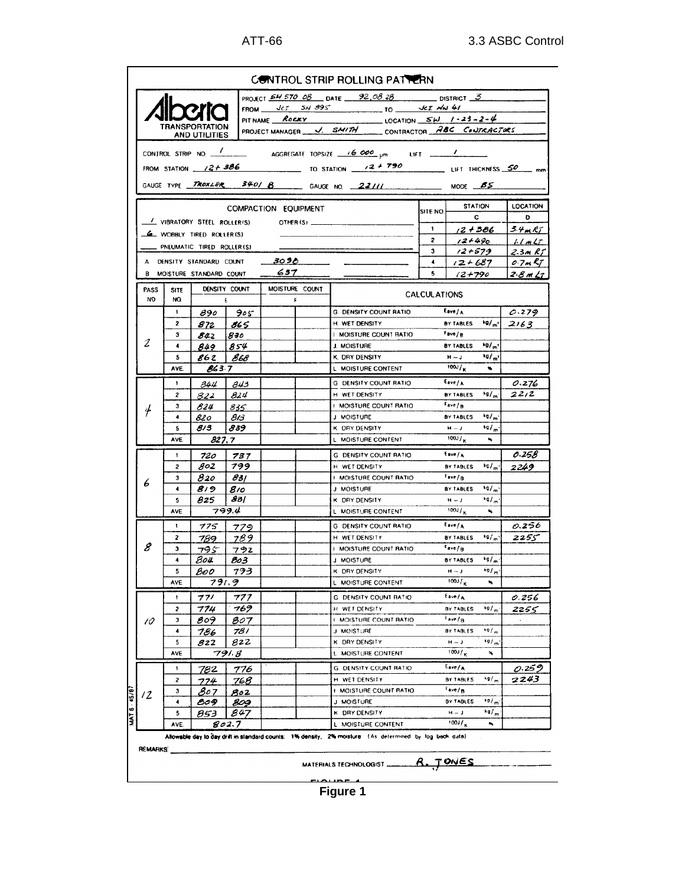|                                                                                                    |                           |                                 |                    |                                                                                                       | PROJECT $\frac{54570.08}{0.016}$ DATE $\frac{92.0828}{0.026}$ DISTRICT $\frac{3}{2}$ |                                                               |                                               |                      |  |  |  |  |
|----------------------------------------------------------------------------------------------------|---------------------------|---------------------------------|--------------------|-------------------------------------------------------------------------------------------------------|--------------------------------------------------------------------------------------|---------------------------------------------------------------|-----------------------------------------------|----------------------|--|--|--|--|
|                                                                                                    |                           |                                 |                    |                                                                                                       |                                                                                      |                                                               |                                               |                      |  |  |  |  |
|                                                                                                    |                           |                                 |                    | FROM $\sqrt{CI}$ $\frac{3H}{995}$ $\sqrt{CI}$ $\frac{4EI}{10}$<br>PIT NAME ROCKY 10CATION SW 1-23-2-4 |                                                                                      |                                                               |                                               |                      |  |  |  |  |
|                                                                                                    |                           | TRANSPORTATION<br>AND UTILITIES |                    |                                                                                                       |                                                                                      | PROJECT MANAGER __ V. SMITH ______ CONTRACTOR ABC CONTRACTORS |                                               |                      |  |  |  |  |
|                                                                                                    |                           |                                 |                    |                                                                                                       |                                                                                      |                                                               |                                               |                      |  |  |  |  |
|                                                                                                    |                           |                                 |                    |                                                                                                       |                                                                                      |                                                               |                                               |                      |  |  |  |  |
| FROM STATION $\frac{12+386}{\text{mm}}$ to Station $\frac{12+790}{\text{mm}}$ Lift Thickness 50 mm |                           |                                 |                    |                                                                                                       |                                                                                      |                                                               |                                               |                      |  |  |  |  |
|                                                                                                    |                           |                                 |                    |                                                                                                       | GAUGE TYPE TROXLER 340/ B GAUGE NO. 22111 MODE BS                                    |                                                               |                                               |                      |  |  |  |  |
|                                                                                                    |                           |                                 |                    |                                                                                                       | <b>STATION</b>                                                                       |                                                               |                                               |                      |  |  |  |  |
|                                                                                                    |                           |                                 |                    | COMPACTION EQUIPMENT                                                                                  |                                                                                      | SITE NO.                                                      | $\mathbf{C}$                                  | <b>LOCATION</b><br>D |  |  |  |  |
|                                                                                                    |                           | VIBRATORY STEEL ROLLERIS)       |                    |                                                                                                       |                                                                                      | $\mathbf{1}$                                                  | 12 + 386                                      | 3.4mRT               |  |  |  |  |
|                                                                                                    |                           | <b>6</b> WOBBLY TIRED ROLLER(S) |                    |                                                                                                       |                                                                                      | $\overline{\mathbf{z}}$                                       | $12 + 490$                                    | 11mL                 |  |  |  |  |
|                                                                                                    |                           | PNEUMATIC TIRED ROLLER(S)       |                    |                                                                                                       |                                                                                      | 3                                                             | $12 + 579$                                    | 2.3mRT               |  |  |  |  |
| 3096<br>A DENSITY STANDARD COUNT                                                                   |                           |                                 |                    |                                                                                                       |                                                                                      |                                                               | $12 + 687$                                    | $0.7m$ KT            |  |  |  |  |
|                                                                                                    |                           | B MOISTURE STANDARD COUNT       |                    | 637                                                                                                   |                                                                                      | 5                                                             | $(2 + 790)$                                   | 2.8 m Lt             |  |  |  |  |
| PASS<br>NO.                                                                                        | <b>SITE</b><br>NQ         |                                 | DENSITY COUNT<br>Ε | MOISTURE COUNT<br>F                                                                                   |                                                                                      | <b>CALCULATIONS</b>                                           |                                               |                      |  |  |  |  |
|                                                                                                    | $\mathbf{1}$              |                                 | $890$   $905$      |                                                                                                       | G. DENSITY COUNT RATIO                                                               |                                                               | Eave/A                                        | 0.279                |  |  |  |  |
|                                                                                                    | 2                         | 872                             | 865                |                                                                                                       | H. WET DENSITY                                                                       |                                                               | BY TABLES $k\theta/m^3$ 2163                  |                      |  |  |  |  |
|                                                                                                    | 3                         | 842                             | 830                |                                                                                                       | I MOISTURE COUNT RATIO                                                               |                                                               | Fave/g                                        |                      |  |  |  |  |
| 2                                                                                                  | $\blacktriangleleft$      | 849                             | 854                |                                                                                                       | J. MOISTURE                                                                          |                                                               | (9/1)<br><b>BY TABLES</b>                     |                      |  |  |  |  |
|                                                                                                    | 5                         | 86 Z<br>  868                   |                    |                                                                                                       | K. DRY DENSITY                                                                       |                                                               | $k_{0}/m$<br>$H - J$                          |                      |  |  |  |  |
|                                                                                                    | AVE.                      | <b>863.7</b>                    |                    |                                                                                                       | L. MOISTURE CONTENT                                                                  |                                                               | $100J_K$                                      |                      |  |  |  |  |
|                                                                                                    | 1                         | 34.4                            | 843                |                                                                                                       | G. DENSITY COUNT RATIO                                                               |                                                               | E <sub>ave/A</sub>                            | 0.276                |  |  |  |  |
|                                                                                                    | 2                         | 822                             | 824                |                                                                                                       | H WET DENSITY                                                                        |                                                               | kg/m<br>BY TABLES                             | 22/2                 |  |  |  |  |
| 4                                                                                                  | з<br>$\blacktriangleleft$ | 824                             | 835<br>813         |                                                                                                       | I MOISTURE COUNT RATIO<br>J MOISTURE                                                 |                                                               | Fave/ <sub>B</sub><br>19/m<br>BY TABLES       |                      |  |  |  |  |
|                                                                                                    | 5                         | 820<br>813                      | 839                |                                                                                                       | K ORY DENSITY                                                                        |                                                               | $H = J$<br>40/5                               |                      |  |  |  |  |
|                                                                                                    | AVE.                      |                                 | 827.7              |                                                                                                       | L MOISTURE CONTENT                                                                   |                                                               | $100J_{K}$<br>$\ddot{\phantom{a}}$            |                      |  |  |  |  |
|                                                                                                    | 1                         | 720                             | 737                |                                                                                                       | <b>G. DENSITY COUNT RATIO</b>                                                        |                                                               | $E$ ave $/$ A                                 | 0.258                |  |  |  |  |
|                                                                                                    | 2                         | $g_{o2}$                        | 799                |                                                                                                       | H WET DENSITY                                                                        |                                                               | $kq_{m}$<br>BY TABLES                         | 2249                 |  |  |  |  |
| 6                                                                                                  | з                         | 820                             | 831                |                                                                                                       | <b>I MOISTURE COUNT RATIO</b>                                                        |                                                               | Fave/ <sub>B</sub>                            |                      |  |  |  |  |
|                                                                                                    | 4                         | 819                             | 810                |                                                                                                       | J MOISTURE                                                                           |                                                               | BY TABLES *9/m'                               |                      |  |  |  |  |
|                                                                                                    | 5                         | 825                             | 831                |                                                                                                       | K DRY DENSITY                                                                        |                                                               | $k_{\alpha}/m$<br>$H = J$                     |                      |  |  |  |  |
|                                                                                                    | AVE                       |                                 | 799.4              |                                                                                                       | L MOISTURE CONTENT                                                                   |                                                               | $\frac{100J}{K}$<br>$\mathbf{u}_\mathbf{u}$   |                      |  |  |  |  |
|                                                                                                    | 1.                        | 775                             | 779                |                                                                                                       | <b>G. DENSITY COUNT RATIO</b>                                                        |                                                               | $E_{\text{ave}}/A$                            | 0.256                |  |  |  |  |
| 8                                                                                                  | 2<br>3                    | 789                             | 789                |                                                                                                       | H WET DENSITY<br>I MOISTURE COUNT RATIO                                              |                                                               | $k = 1$<br>BY TABLES<br>$F$ ave $f_B$         | 2255                 |  |  |  |  |
|                                                                                                    | 4                         | 795<br>804                      | 792<br>803         |                                                                                                       | J MOISTURE                                                                           |                                                               | kg/m<br>BY TABLES                             |                      |  |  |  |  |
|                                                                                                    | 5                         | 800                             | 793                |                                                                                                       | K DRY DENSITY                                                                        |                                                               | $H \rightarrow J$<br>$^{\star}$ 9/m           |                      |  |  |  |  |
|                                                                                                    | 791.9<br>AVE              |                                 |                    |                                                                                                       | L MOISTURE CONTENT                                                                   |                                                               | $\frac{100J}{K}$                              |                      |  |  |  |  |
|                                                                                                    | 1                         | 771                             | 777                |                                                                                                       | G. DENSITY COUNT RATIO                                                               |                                                               | $E_{ave}/\sqrt{2}$                            | 0.256                |  |  |  |  |
|                                                                                                    | 5                         | 774                             | 769                |                                                                                                       | H WET DENSITY                                                                        |                                                               | 19/m<br>BY TABLES                             | 2255                 |  |  |  |  |
| 10                                                                                                 | з                         | 809                             | 807                |                                                                                                       | <b>I MOISTURE COUNT RATIO</b>                                                        |                                                               | $f_{\rm ave}/B$                               |                      |  |  |  |  |
|                                                                                                    | 4                         | 786                             | 78 I               |                                                                                                       | J MOISTURE                                                                           |                                                               | $*q/$<br><b>BY TABLES</b>                     |                      |  |  |  |  |
|                                                                                                    | 5                         | 822                             | 822                |                                                                                                       | K DRY DENSITY                                                                        |                                                               | $\mathbf{H}=\mathbf{J}$<br>kq/m<br>$100J_{K}$ |                      |  |  |  |  |
|                                                                                                    | AVE                       |                                 | 791.8              |                                                                                                       | L MOISTURE CONTENT                                                                   |                                                               | $\mathbf{v}_\mathbf{t}$                       |                      |  |  |  |  |
|                                                                                                    | 1                         | 782                             | 776                |                                                                                                       | G. DENSITY COUNT RATIO                                                               |                                                               | $E$ ave/A                                     | 0.259                |  |  |  |  |
|                                                                                                    | 2                         | 774                             | 768                |                                                                                                       | H WET DENSITY<br>I MOISTURE COUNT RATIO                                              |                                                               | kg/m<br>BY TABLES<br>$F$ ave/ $B$             | 2243                 |  |  |  |  |
| 12                                                                                                 | з<br>$\blacktriangleleft$ | 807<br>809                      | 802<br>809         |                                                                                                       | J MOISTURE                                                                           |                                                               | BY TABLES<br>kg/m                             |                      |  |  |  |  |
|                                                                                                    | 5                         | 853                             | 847                |                                                                                                       | K DRY DENSITY                                                                        |                                                               | 10/m<br>$H = J$                               |                      |  |  |  |  |
|                                                                                                    | AVE.                      |                                 | 802.7              |                                                                                                       | L MOISTURE CONTENT                                                                   |                                                               | $100J_{\rm K}$<br>۰,                          |                      |  |  |  |  |
|                                                                                                    |                           |                                 |                    |                                                                                                       |                                                                                      |                                                               |                                               |                      |  |  |  |  |

**Figure 1**

مصبيم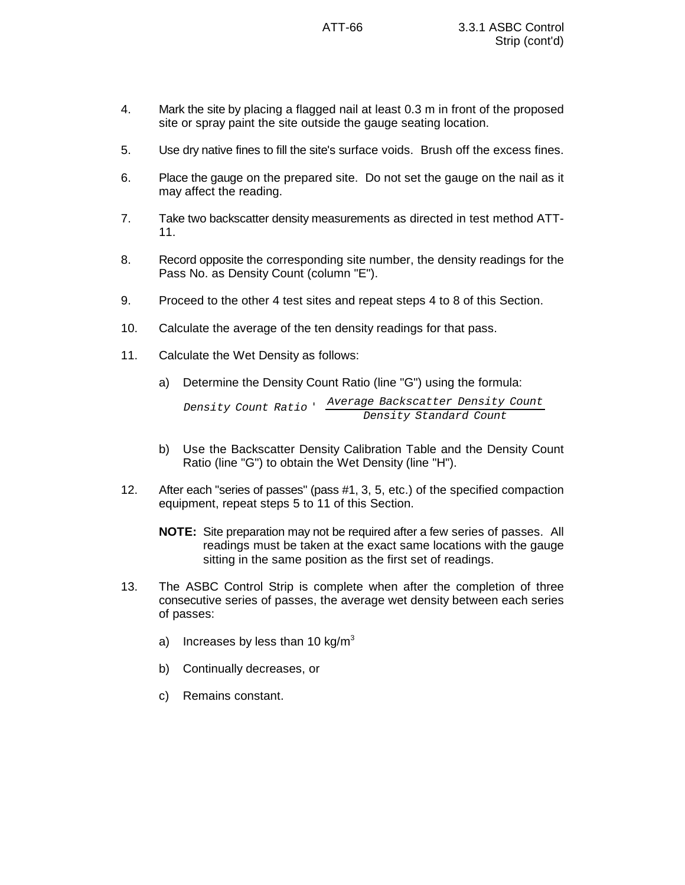- 4. Mark the site by placing a flagged nail at least 0.3 m in front of the proposed site or spray paint the site outside the gauge seating location.
- 5. Use dry native fines to fill the site's surface voids. Brush off the excess fines.
- 6. Place the gauge on the prepared site. Do not set the gauge on the nail as it may affect the reading.
- 7. Take two backscatter density measurements as directed in test method ATT-11.
- 8. Record opposite the corresponding site number, the density readings for the Pass No. as Density Count (column "E").
- 9. Proceed to the other 4 test sites and repeat steps 4 to 8 of this Section.
- 10. Calculate the average of the ten density readings for that pass.
- 11. Calculate the Wet Density as follows:
	- a) Determine the Density Count Ratio (line "G") using the formula:

```
Density Count Ratio '
Average Backscatter Density Count
                            Density Standard Count
```
- b) Use the Backscatter Density Calibration Table and the Density Count Ratio (line "G") to obtain the Wet Density (line "H").
- 12. After each "series of passes" (pass #1, 3, 5, etc.) of the specified compaction equipment, repeat steps 5 to 11 of this Section.
	- **NOTE:** Site preparation may not be required after a few series of passes. All readings must be taken at the exact same locations with the gauge sitting in the same position as the first set of readings.
- 13. The ASBC Control Strip is complete when after the completion of three consecutive series of passes, the average wet density between each series of passes:
	- a) Increases by less than 10 kg/ $m<sup>3</sup>$
	- b) Continually decreases, or
	- c) Remains constant.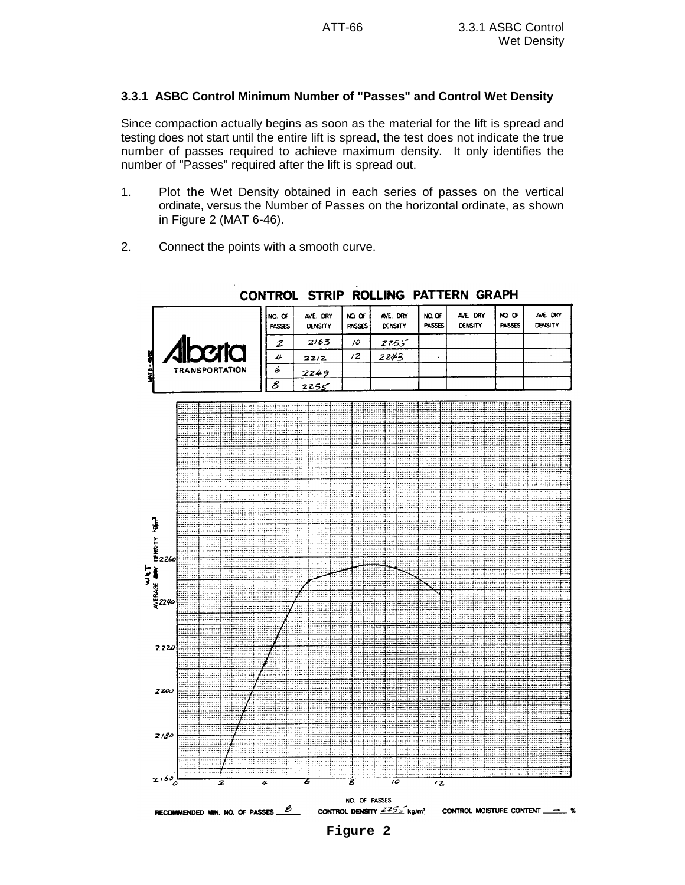# **3.3.1 ASBC Control Minimum Number of "Passes" and Control Wet Density**

Since compaction actually begins as soon as the material for the lift is spread and testing does not start until the entire lift is spread, the test does not indicate the true number of passes required to achieve maximum density. It only identifies the number of "Passes" required after the lift is spread out.

- 1. Plot the Wet Density obtained in each series of passes on the vertical ordinate, versus the Number of Passes on the horizontal ordinate, as shown in Figure 2 (MAT 6-46).
- 2. Connect the points with a smooth curve.



# CONTROL STRIP ROLLING PATTERN GRAPH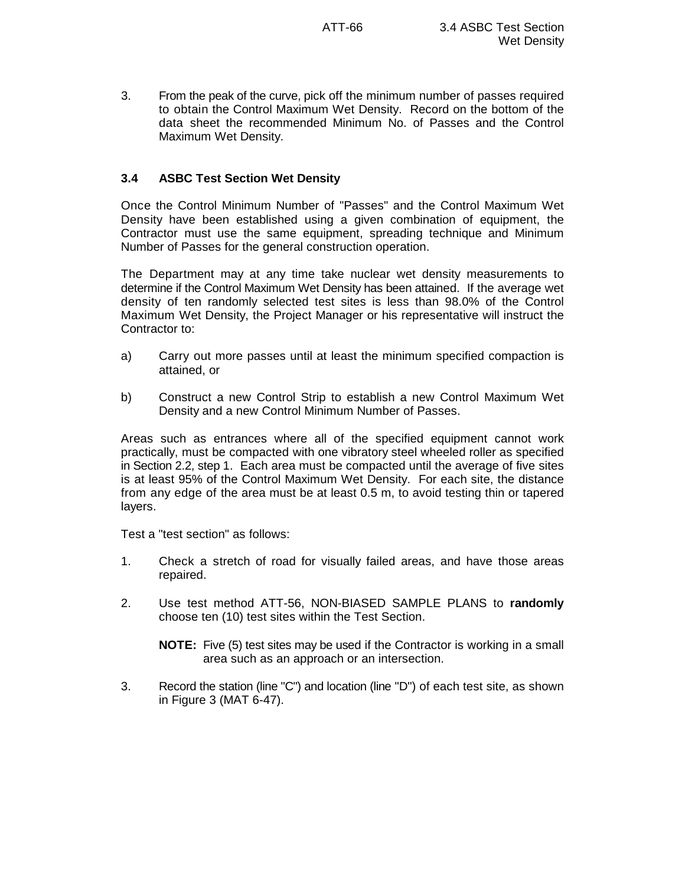3. From the peak of the curve, pick off the minimum number of passes required to obtain the Control Maximum Wet Density. Record on the bottom of the data sheet the recommended Minimum No. of Passes and the Control Maximum Wet Density.

# **3.4 ASBC Test Section Wet Density**

Once the Control Minimum Number of "Passes" and the Control Maximum Wet Density have been established using a given combination of equipment, the Contractor must use the same equipment, spreading technique and Minimum Number of Passes for the general construction operation.

The Department may at any time take nuclear wet density measurements to determine if the Control Maximum Wet Density has been attained. If the average wet density of ten randomly selected test sites is less than 98.0% of the Control Maximum Wet Density, the Project Manager or his representative will instruct the Contractor to:

- a) Carry out more passes until at least the minimum specified compaction is attained, or
- b) Construct a new Control Strip to establish a new Control Maximum Wet Density and a new Control Minimum Number of Passes.

Areas such as entrances where all of the specified equipment cannot work practically, must be compacted with one vibratory steel wheeled roller as specified in Section 2.2, step 1. Each area must be compacted until the average of five sites is at least 95% of the Control Maximum Wet Density. For each site, the distance from any edge of the area must be at least 0.5 m, to avoid testing thin or tapered layers.

Test a "test section" as follows:

- 1. Check a stretch of road for visually failed areas, and have those areas repaired.
- 2. Use test method ATT-56, NON-BIASED SAMPLE PLANS to **randomly** choose ten (10) test sites within the Test Section.

**NOTE:** Five (5) test sites may be used if the Contractor is working in a small area such as an approach or an intersection.

3. Record the station (line "C") and location (line "D") of each test site, as shown in Figure 3 (MAT 6-47).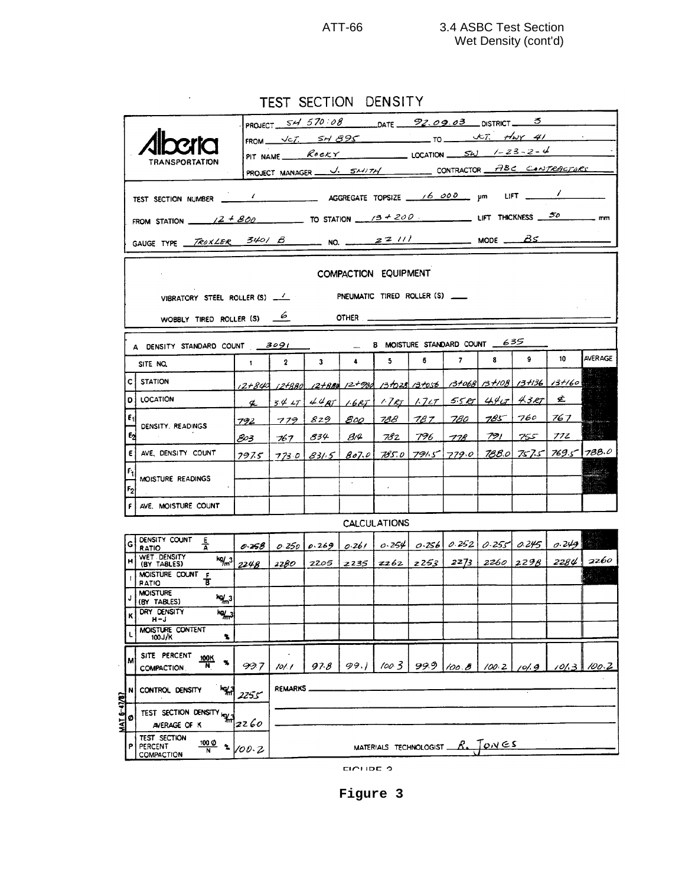TEST SECTION DENSITY

 $\ddot{\phantom{0}}$ 

|                                                                                                                            |                                                                   |                                                             |                            | PROJECT $S H 570:08$ DATE $92.09.03$ DISTRICT 3<br>FROM $\sqrt{cT}$ $SH895$ to $\sqrt{cT}$ $HwY41$                                                                                                                                                                                                                                                                                                                                         |                                                   |                      |                             |                 |              |       |        |           |                |  |
|----------------------------------------------------------------------------------------------------------------------------|-------------------------------------------------------------------|-------------------------------------------------------------|----------------------------|--------------------------------------------------------------------------------------------------------------------------------------------------------------------------------------------------------------------------------------------------------------------------------------------------------------------------------------------------------------------------------------------------------------------------------------------|---------------------------------------------------|----------------------|-----------------------------|-----------------|--------------|-------|--------|-----------|----------------|--|
|                                                                                                                            |                                                                   |                                                             |                            | PIT NAME $\begin{array}{c c c c c c} \hline & \mathcal{R} & \mathcal{R} & \mathcal{R} & \mathcal{R} & \mathcal{R} & \mathcal{R} & \mathcal{R} & \mathcal{R} & \mathcal{R} & \mathcal{R} & \mathcal{R} & \mathcal{R} & \mathcal{R} & \mathcal{R} & \mathcal{R} & \mathcal{R} & \mathcal{R} & \mathcal{R} & \mathcal{R} & \mathcal{R} & \mathcal{R} & \mathcal{R} & \mathcal{R} & \mathcal{R} & \mathcal{R} & \mathcal{R} & \mathcal{R} & \$ |                                                   |                      |                             |                 |              |       |        |           |                |  |
|                                                                                                                            |                                                                   | TRANSPORTATION                                              |                            |                                                                                                                                                                                                                                                                                                                                                                                                                                            |                                                   |                      |                             |                 |              |       |        |           |                |  |
|                                                                                                                            |                                                                   | PROJECT MANAGER <u>J. SMITH</u> CONTRACTOR FIBC CANTRACTORS |                            |                                                                                                                                                                                                                                                                                                                                                                                                                                            |                                                   |                      |                             |                 |              |       |        |           |                |  |
|                                                                                                                            |                                                                   |                                                             |                            |                                                                                                                                                                                                                                                                                                                                                                                                                                            |                                                   |                      |                             |                 |              |       |        |           |                |  |
| FROM STATION $\frac{2+800}{\sqrt{2+800}}$ TO STATION $\frac{3+200}{\sqrt{3+200}}$ LIFT THICKNESS $\frac{50}{\sqrt{30}}$ mm |                                                                   |                                                             |                            |                                                                                                                                                                                                                                                                                                                                                                                                                                            |                                                   |                      |                             |                 |              |       |        |           |                |  |
| GAUGE TYPE TROXLER 340/ B NO. 22/11 NODE BS                                                                                |                                                                   |                                                             |                            |                                                                                                                                                                                                                                                                                                                                                                                                                                            |                                                   |                      |                             |                 |              |       |        |           |                |  |
|                                                                                                                            |                                                                   | COMPACTION EQUIPMENT                                        |                            |                                                                                                                                                                                                                                                                                                                                                                                                                                            |                                                   |                      |                             |                 |              |       |        |           |                |  |
|                                                                                                                            | PNEUMATIC TIRED ROLLER (S)<br>VIBRATORY STEEL ROLLER $(S)$ $\_\_$ |                                                             |                            |                                                                                                                                                                                                                                                                                                                                                                                                                                            |                                                   |                      |                             |                 |              |       |        |           |                |  |
| WOBBLY TIRED ROLLER (S) $\frac{6}{5}$<br>$OTHER$ $\qquad$                                                                  |                                                                   |                                                             |                            |                                                                                                                                                                                                                                                                                                                                                                                                                                            |                                                   |                      |                             |                 |              |       |        |           |                |  |
| B MOISTURE STANDARD COUNT 635<br>A DENSITY STANDARD COUNT 3091                                                             |                                                                   |                                                             |                            |                                                                                                                                                                                                                                                                                                                                                                                                                                            |                                                   |                      |                             |                 |              |       |        |           |                |  |
|                                                                                                                            |                                                                   | SITE NO.                                                    | $1 -$                      | $\mathbf{2}$                                                                                                                                                                                                                                                                                                                                                                                                                               | $\mathbf{3}$                                      | $\ddot{\phantom{a}}$ | $5 -$                       | 6.              | $\mathbf{7}$ | 8     | 9.     | 10        | <b>AVERAGE</b> |  |
|                                                                                                                            | c                                                                 | STATION                                                     |                            | 12+843 12+880 12+880 12+980 13+028 13+056 13+068 13+108 13+136 13+160                                                                                                                                                                                                                                                                                                                                                                      |                                                   |                      |                             |                 |              |       |        |           |                |  |
|                                                                                                                            | D                                                                 | LOCATION                                                    | $\boldsymbol{\mathcal{L}}$ |                                                                                                                                                                                                                                                                                                                                                                                                                                            | $3427$ 448T 16RT 17RT 17LT 55RT 44LT 43RT         |                      |                             |                 |              |       |        | £.        |                |  |
|                                                                                                                            | ε,                                                                |                                                             | 792                        | 779829                                                                                                                                                                                                                                                                                                                                                                                                                                     |                                                   |                      |                             | 800 788 787 780 |              | 785   |        | 760   767 | rai ren        |  |
|                                                                                                                            | $\epsilon_2$                                                      | DENSITY, READINGS                                           | 803                        | -76 T                                                                                                                                                                                                                                                                                                                                                                                                                                      | 834                                               | 814                  | 782                         | 796             | 778 -        | 791   | 755    | 77Z       |                |  |
|                                                                                                                            | E                                                                 | AVE, DENSITY COUNT                                          |                            | 7975 7730 831.5 807.0 785.0 7915 779.0 788.0 7575 769.5 788.0                                                                                                                                                                                                                                                                                                                                                                              |                                                   |                      |                             |                 |              |       |        |           |                |  |
|                                                                                                                            |                                                                   | MOISTURE READINGS                                           |                            |                                                                                                                                                                                                                                                                                                                                                                                                                                            |                                                   |                      |                             |                 |              |       |        |           |                |  |
|                                                                                                                            | F <sub>2</sub>                                                    |                                                             |                            |                                                                                                                                                                                                                                                                                                                                                                                                                                            |                                                   |                      | $\mathcal{L}_{\mathcal{A}}$ |                 |              |       |        |           |                |  |
|                                                                                                                            |                                                                   | AVE. MOISTURE COUNT                                         |                            |                                                                                                                                                                                                                                                                                                                                                                                                                                            |                                                   |                      |                             |                 |              |       |        |           |                |  |
|                                                                                                                            |                                                                   |                                                             |                            |                                                                                                                                                                                                                                                                                                                                                                                                                                            |                                                   |                      | <b>CALCULATIONS</b>         |                 |              |       |        |           |                |  |
|                                                                                                                            | G                                                                 | DENSITY COUNT E<br>$\overline{A}$<br><b>RATIO</b>           |                            | $ 0.258 0.250 0.269 0.261 0.254 0.256 0.252 0.255 0.245 0.249 $                                                                                                                                                                                                                                                                                                                                                                            |                                                   |                      |                             |                 |              |       |        |           |                |  |
|                                                                                                                            |                                                                   | WET DENSITY<br>(BY TABLES)                                  | $log/m^{3}$ 2248           |                                                                                                                                                                                                                                                                                                                                                                                                                                            | 2280 2205 2235 2262 2253 2273 2260 2298 2284 2260 |                      |                             |                 |              |       |        |           |                |  |
|                                                                                                                            |                                                                   | MOISTURE COUNT F<br>τ<br><b>PATIO</b>                       |                            |                                                                                                                                                                                                                                                                                                                                                                                                                                            |                                                   |                      |                             |                 |              |       |        |           |                |  |
|                                                                                                                            |                                                                   | <b>MOISTURE</b><br>$kg_{m3}$<br>(BY TABLES)                 |                            |                                                                                                                                                                                                                                                                                                                                                                                                                                            |                                                   |                      |                             |                 |              |       |        |           |                |  |
|                                                                                                                            |                                                                   | DRY DENSITY<br>ra al<br>H-J<br>m                            |                            |                                                                                                                                                                                                                                                                                                                                                                                                                                            |                                                   |                      |                             |                 |              |       |        |           |                |  |
|                                                                                                                            |                                                                   | MOISTURE CONTENT<br>٦<br>100 J/K                            |                            |                                                                                                                                                                                                                                                                                                                                                                                                                                            |                                                   |                      |                             |                 |              |       |        |           |                |  |
|                                                                                                                            | М                                                                 | SITE PERCENT<br>100K<br>۰.<br><b>COMPACTION</b>             | 99.7                       | 10 l. l                                                                                                                                                                                                                                                                                                                                                                                                                                    | 97 B                                              | 99.1                 | 100.3                       |                 | 99.9/100.8   | 100.2 | 10I. G | 1013      | 100.2          |  |
|                                                                                                                            |                                                                   |                                                             |                            |                                                                                                                                                                                                                                                                                                                                                                                                                                            |                                                   |                      |                             |                 |              |       |        |           |                |  |
|                                                                                                                            | N                                                                 | إيها<br>CONTROL DENSITY<br>مى225                            |                            | <b>REMARKS.</b>                                                                                                                                                                                                                                                                                                                                                                                                                            |                                                   |                      |                             |                 |              |       |        |           |                |  |
| <b>MAT 6-41/87</b>                                                                                                         | ø                                                                 | TEST SECTION DENSITY KEY<br>2260<br>AVERAGE OF K            |                            |                                                                                                                                                                                                                                                                                                                                                                                                                                            |                                                   |                      |                             |                 |              |       |        |           |                |  |
|                                                                                                                            | P                                                                 | TEST SECTION<br>100 Q<br>PERCENT<br>COMPACTION              | 100.2                      |                                                                                                                                                                                                                                                                                                                                                                                                                                            |                                                   |                      |                             |                 |              |       |        |           |                |  |
|                                                                                                                            |                                                                   |                                                             |                            |                                                                                                                                                                                                                                                                                                                                                                                                                                            |                                                   | <b>CICHDE 2</b>      |                             |                 |              |       |        |           |                |  |

**Figure 3**